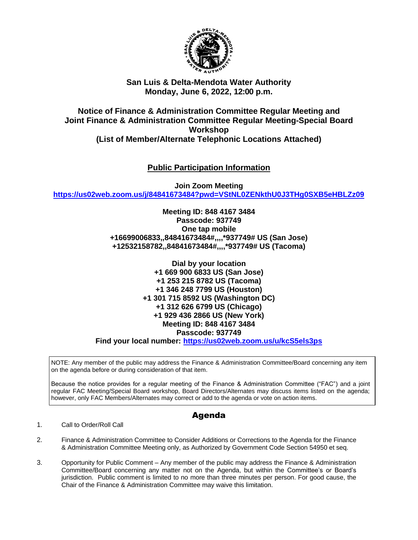

## **San Luis & Delta-Mendota Water Authority Monday, June 6, 2022, 12:00 p.m.**

## **Notice of Finance & Administration Committee Regular Meeting and Joint Finance & Administration Committee Regular Meeting-Special Board Workshop (List of Member/Alternate Telephonic Locations Attached)**

# **Public Participation Information**

**Join Zoom Meeting <https://us02web.zoom.us/j/84841673484?pwd=VStNL0ZENkthU0J3THg0SXB5eHBLZz09>**

> **Meeting ID: 848 4167 3484 Passcode: 937749 One tap mobile +16699006833,,84841673484#,,,,\*937749# US (San Jose) +12532158782,,84841673484#,,,,\*937749# US (Tacoma)**

> > **Dial by your location +1 669 900 6833 US (San Jose) +1 253 215 8782 US (Tacoma) +1 346 248 7799 US (Houston) +1 301 715 8592 US (Washington DC) +1 312 626 6799 US (Chicago) +1 929 436 2866 US (New York) Meeting ID: 848 4167 3484 Passcode: 937749**

**Find your local number: <https://us02web.zoom.us/u/kcS5els3ps>**

NOTE: Any member of the public may address the Finance & Administration Committee/Board concerning any item on the agenda before or during consideration of that item.

Because the notice provides for a regular meeting of the Finance & Administration Committee ("FAC") and a joint regular FAC Meeting/Special Board workshop, Board Directors/Alternates may discuss items listed on the agenda; however, only FAC Members/Alternates may correct or add to the agenda or vote on action items.

# Agenda

### 1. Call to Order/Roll Call

- 2. Finance & Administration Committee to Consider Additions or Corrections to the Agenda for the Finance & Administration Committee Meeting only, as Authorized by Government Code Section 54950 et seq.
- 3. Opportunity for Public Comment Any member of the public may address the Finance & Administration Committee/Board concerning any matter not on the Agenda, but within the Committee's or Board's jurisdiction. Public comment is limited to no more than three minutes per person. For good cause, the Chair of the Finance & Administration Committee may waive this limitation.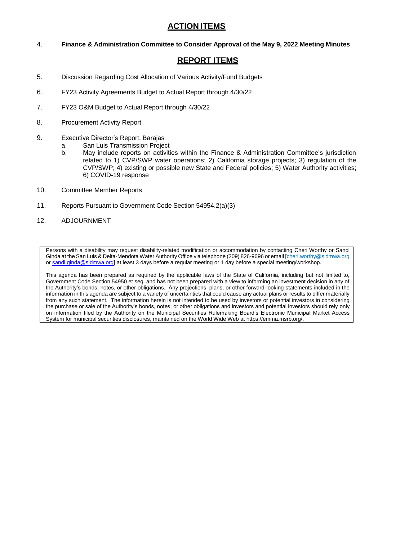### **ACTION ITEMS**

4. **Finance & Administration Committee to Consider Approval of the May 9, 2022 Meeting Minutes**

## **REPORT ITEMS**

- 5. Discussion Regarding Cost Allocation of Various Activity/Fund Budgets
- 6. FY23 Activity Agreements Budget to Actual Report through 4/30/22
- 7. FY23 O&M Budget to Actual Report through 4/30/22
- 8. Procurement Activity Report
- 9. Executive Director's Report, Barajas
	- a. San Luis Transmission Project
	- b. May include reports on activities within the Finance & Administration Committee's jurisdiction related to 1) CVP/SWP water operations; 2) California storage projects; 3) regulation of the CVP/SWP; 4) existing or possible new State and Federal policies; 5) Water Authority activities; 6) COVID-19 response
- 10. Committee Member Reports
- 11. Reports Pursuant to Government Code Section 54954.2(a)(3)
- 12. ADJOURNMENT

Persons with a disability may request disability-related modification or accommodation by contacting Cheri Worthy or Sandi Ginda at the San Luis & Delta-Mendota Water Authority Office via telephone (209) 826-9696 or email [cheri.worthy@sldmwa.org o[r sandi.ginda@sldmwa.org\]](mailto:sandi.ginda@sldmwa.org) at least 3 days before a regular meeting or 1 day before a special meeting/workshop.

This agenda has been prepared as required by the applicable laws of the State of California, including but not limited to, Government Code Section 54950 et seq. and has not been prepared with a view to informing an investment decision in any of the Authority's bonds, notes, or other obligations. Any projections, plans, or other forward-looking statements included in the information in this agenda are subject to a variety of uncertainties that could cause any actual plans or results to differ materially from any such statement. The information herein is not intended to be used by investors or potential investors in considering the purchase or sale of the Authority's bonds, notes, or other obligations and investors and potential investors should rely only on information filed by the Authority on the Municipal Securities Rulemaking Board's Electronic Municipal Market Access System for municipal securities disclosures, maintained on the World Wide Web at https://emma.msrb.org/.